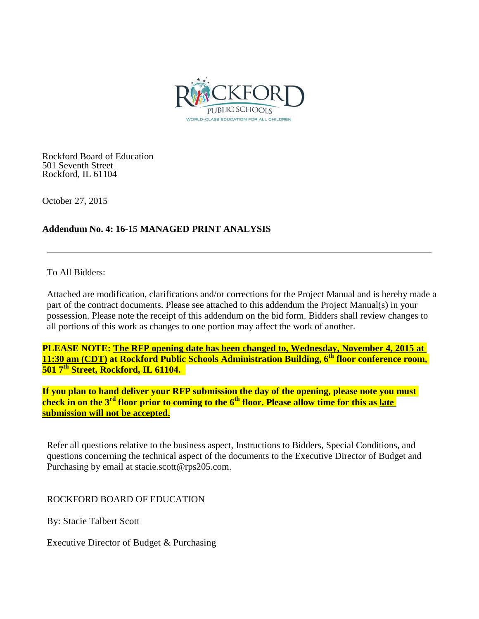

Rockford Board of Education 501 Seventh Street Rockford, IL 61104

October 27, 2015

## **Addendum No. 4: 16-15 MANAGED PRINT ANALYSIS**

To All Bidders:

Attached are modification, clarifications and/or corrections for the Project Manual and is hereby made a part of the contract documents. Please see attached to this addendum the Project Manual(s) in your possession. Please note the receipt of this addendum on the bid form. Bidders shall review changes to all portions of this work as changes to one portion may affect the work of another.

**PLEASE NOTE: The RFP opening date has been changed to, Wednesday, November 4, 2015 at 11:30 am (CDT) at Rockford Public Schools Administration Building, 6<sup>th</sup> floor conference room, 501 7th Street, Rockford, IL 61104.** 

**If you plan to hand deliver your RFP submission the day of the opening, please note you must check in on the 3rd floor prior to coming to the 6th floor. Please allow time for this as late submission will not be accepted.**

Refer all questions relative to the business aspect, Instructions to Bidders, Special Conditions, and questions concerning the technical aspect of the documents to the Executive Director of Budget and Purchasing by email at stacie.scott@rps205.com.

ROCKFORD BOARD OF EDUCATION

By: Stacie Talbert Scott

Executive Director of Budget & Purchasing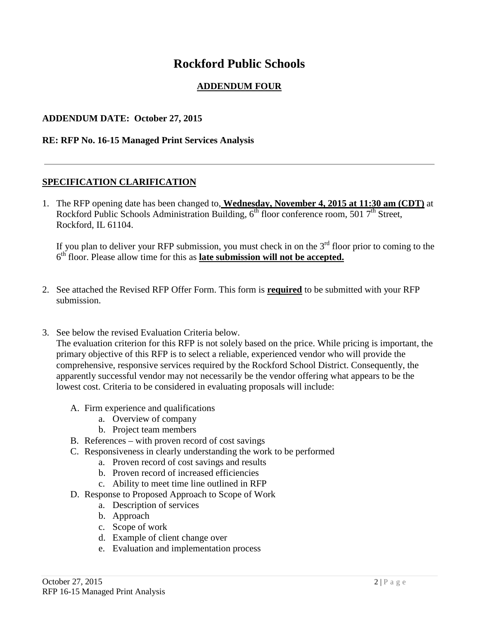# **Rockford Public Schools**

# **ADDENDUM FOUR**

#### **ADDENDUM DATE: October 27, 2015**

#### **RE: RFP No. 16-15 Managed Print Services Analysis**

#### **SPECIFICATION CLARIFICATION**

1. The RFP opening date has been changed to, **Wednesday, November 4, 2015 at 11:30 am (CDT)** at Rockford Public Schools Administration Building,  $6<sup>th</sup>$  floor conference room, 501  $7<sup>th</sup>$  Street, Rockford, IL 61104.

If you plan to deliver your RFP submission, you must check in on the  $3<sup>rd</sup>$  floor prior to coming to the 6th floor. Please allow time for this as **late submission will not be accepted.**

- 2. See attached the Revised RFP Offer Form. This form is **required** to be submitted with your RFP submission.
- 3. See below the revised Evaluation Criteria below.

The evaluation criterion for this RFP is not solely based on the price. While pricing is important, the primary objective of this RFP is to select a reliable, experienced vendor who will provide the comprehensive, responsive services required by the Rockford School District. Consequently, the apparently successful vendor may not necessarily be the vendor offering what appears to be the lowest cost. Criteria to be considered in evaluating proposals will include:

- A. Firm experience and qualifications
	- a. Overview of company
	- b. Project team members
- B. References with proven record of cost savings
- C. Responsiveness in clearly understanding the work to be performed
	- a. Proven record of cost savings and results
	- b. Proven record of increased efficiencies
	- c. Ability to meet time line outlined in RFP
- D. Response to Proposed Approach to Scope of Work
	- a. Description of services
	- b. Approach
	- c. Scope of work
	- d. Example of client change over
	- e. Evaluation and implementation process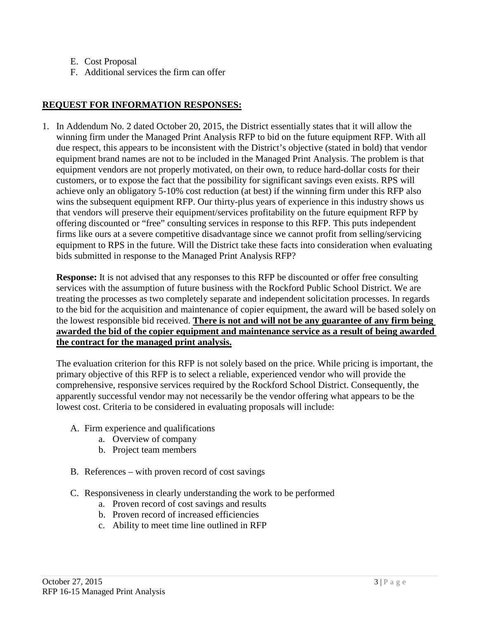- E. Cost Proposal
- F. Additional services the firm can offer

# **REQUEST FOR INFORMATION RESPONSES:**

1. In Addendum No. 2 dated October 20, 2015, the District essentially states that it will allow the winning firm under the Managed Print Analysis RFP to bid on the future equipment RFP. With all due respect, this appears to be inconsistent with the District's objective (stated in bold) that vendor equipment brand names are not to be included in the Managed Print Analysis. The problem is that equipment vendors are not properly motivated, on their own, to reduce hard-dollar costs for their customers, or to expose the fact that the possibility for significant savings even exists. RPS will achieve only an obligatory 5-10% cost reduction (at best) if the winning firm under this RFP also wins the subsequent equipment RFP. Our thirty-plus years of experience in this industry shows us that vendors will preserve their equipment/services profitability on the future equipment RFP by offering discounted or "free" consulting services in response to this RFP. This puts independent firms like ours at a severe competitive disadvantage since we cannot profit from selling/servicing equipment to RPS in the future. Will the District take these facts into consideration when evaluating bids submitted in response to the Managed Print Analysis RFP?

**Response:** It is not advised that any responses to this RFP be discounted or offer free consulting services with the assumption of future business with the Rockford Public School District. We are treating the processes as two completely separate and independent solicitation processes. In regards to the bid for the acquisition and maintenance of copier equipment, the award will be based solely on the lowest responsible bid received. **There is not and will not be any guarantee of any firm being awarded the bid of the copier equipment and maintenance service as a result of being awarded the contract for the managed print analysis.**

The evaluation criterion for this RFP is not solely based on the price. While pricing is important, the primary objective of this RFP is to select a reliable, experienced vendor who will provide the comprehensive, responsive services required by the Rockford School District. Consequently, the apparently successful vendor may not necessarily be the vendor offering what appears to be the lowest cost. Criteria to be considered in evaluating proposals will include:

- A. Firm experience and qualifications
	- a. Overview of company
	- b. Project team members
- B. References with proven record of cost savings
- C. Responsiveness in clearly understanding the work to be performed
	- a. Proven record of cost savings and results
	- b. Proven record of increased efficiencies
	- c. Ability to meet time line outlined in RFP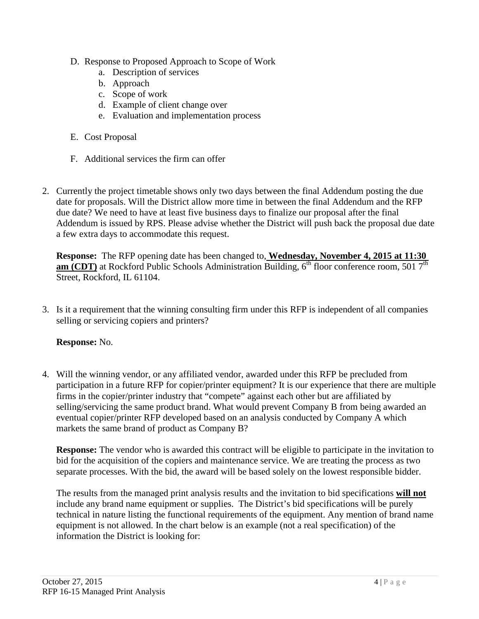- D. Response to Proposed Approach to Scope of Work
	- a. Description of services
	- b. Approach
	- c. Scope of work
	- d. Example of client change over
	- e. Evaluation and implementation process
- E. Cost Proposal
- F. Additional services the firm can offer
- 2. Currently the project timetable shows only two days between the final Addendum posting the due date for proposals. Will the District allow more time in between the final Addendum and the RFP due date? We need to have at least five business days to finalize our proposal after the final Addendum is issued by RPS. Please advise whether the District will push back the proposal due date a few extra days to accommodate this request.

**Response:** The RFP opening date has been changed to, **Wednesday, November 4, 2015 at 11:30 am (CDT)** at Rockford Public Schools Administration Building, 6<sup>th</sup> floor conference room, 501 7<sup>th</sup> Street, Rockford, IL 61104.

3. Is it a requirement that the winning consulting firm under this RFP is independent of all companies selling or servicing copiers and printers?

#### **Response:** No.

4. Will the winning vendor, or any affiliated vendor, awarded under this RFP be precluded from participation in a future RFP for copier/printer equipment? It is our experience that there are multiple firms in the copier/printer industry that "compete" against each other but are affiliated by selling/servicing the same product brand. What would prevent Company B from being awarded an eventual copier/printer RFP developed based on an analysis conducted by Company A which markets the same brand of product as Company B?

**Response:** The vendor who is awarded this contract will be eligible to participate in the invitation to bid for the acquisition of the copiers and maintenance service. We are treating the process as two separate processes. With the bid, the award will be based solely on the lowest responsible bidder.

The results from the managed print analysis results and the invitation to bid specifications **will not** include any brand name equipment or supplies. The District's bid specifications will be purely technical in nature listing the functional requirements of the equipment. Any mention of brand name equipment is not allowed. In the chart below is an example (not a real specification) of the information the District is looking for: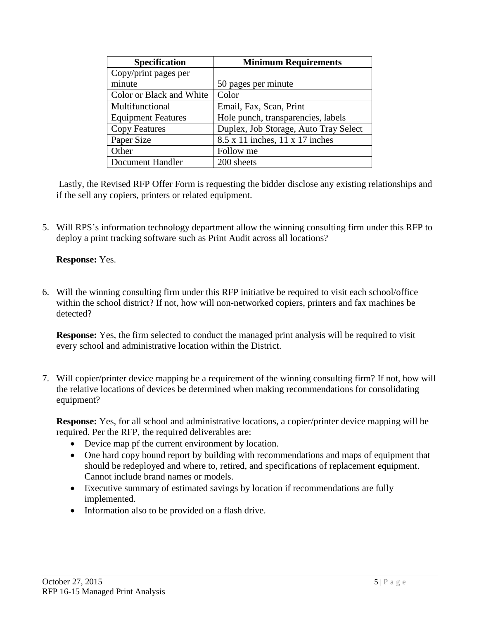| <b>Specification</b>      | <b>Minimum Requirements</b>                   |
|---------------------------|-----------------------------------------------|
| Copy/print pages per      |                                               |
| minute                    | 50 pages per minute                           |
| Color or Black and White  | Color                                         |
| Multifunctional           | Email, Fax, Scan, Print                       |
| <b>Equipment Features</b> | Hole punch, transparencies, labels            |
| <b>Copy Features</b>      | Duplex, Job Storage, Auto Tray Select         |
| Paper Size                | $8.5 \times 11$ inches, $11 \times 17$ inches |
| Other                     | Follow me                                     |
| Document Handler          | 200 sheets                                    |

Lastly, the Revised RFP Offer Form is requesting the bidder disclose any existing relationships and if the sell any copiers, printers or related equipment.

5. Will RPS's information technology department allow the winning consulting firm under this RFP to deploy a print tracking software such as Print Audit across all locations?

## **Response:** Yes.

6. Will the winning consulting firm under this RFP initiative be required to visit each school/office within the school district? If not, how will non-networked copiers, printers and fax machines be detected?

**Response:** Yes, the firm selected to conduct the managed print analysis will be required to visit every school and administrative location within the District.

7. Will copier/printer device mapping be a requirement of the winning consulting firm? If not, how will the relative locations of devices be determined when making recommendations for consolidating equipment?

**Response:** Yes, for all school and administrative locations, a copier/printer device mapping will be required. Per the RFP, the required deliverables are:

- Device map pf the current environment by location.
- One hard copy bound report by building with recommendations and maps of equipment that should be redeployed and where to, retired, and specifications of replacement equipment. Cannot include brand names or models.
- Executive summary of estimated savings by location if recommendations are fully implemented.
- Information also to be provided on a flash drive.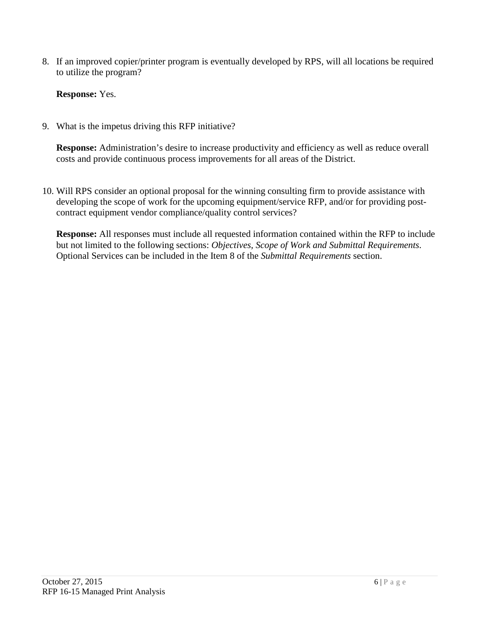8. If an improved copier/printer program is eventually developed by RPS, will all locations be required to utilize the program?

**Response:** Yes.

9. What is the impetus driving this RFP initiative?

**Response:** Administration's desire to increase productivity and efficiency as well as reduce overall costs and provide continuous process improvements for all areas of the District.

10. Will RPS consider an optional proposal for the winning consulting firm to provide assistance with developing the scope of work for the upcoming equipment/service RFP, and/or for providing postcontract equipment vendor compliance/quality control services?

**Response:** All responses must include all requested information contained within the RFP to include but not limited to the following sections: *Objectives, Scope of Work and Submittal Requirements*. Optional Services can be included in the Item 8 of the *Submittal Requirements* section.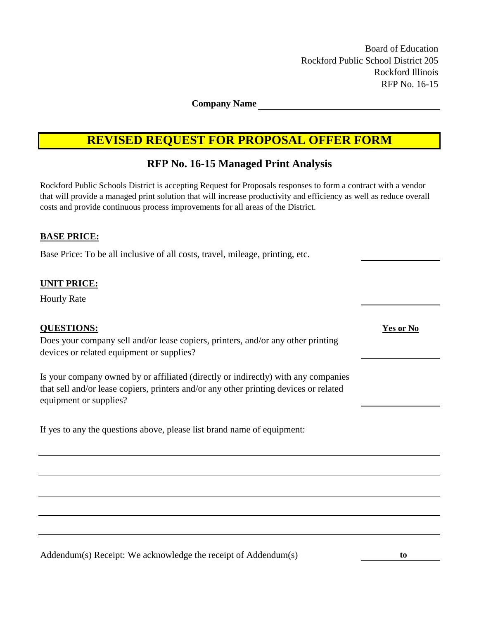Board of Education Rockford Public School District 205 Rockford Illinois RFP No. 16-15

**Company Name**

# **REVISED REQUEST FOR PROPOSAL OFFER FORM**

# **RFP No. 16-15 Managed Print Analysis**

Rockford Public Schools District is accepting Request for Proposals responses to form a contract with a vendor that will provide a managed print solution that will increase productivity and efficiency as well as reduce overall costs and provide continuous process improvements for all areas of the District.

#### **BASE PRICE:**

Base Price: To be all inclusive of all costs, travel, mileage, printing, etc.

#### **UNIT PRICE:**

Hourly Rate

#### **QUESTIONS: Yes or No**

Does your company sell and/or lease copiers, printers, and/or any other printing devices or related equipment or supplies?

Is your company owned by or affiliated (directly or indirectly) with any companies that sell and/or lease copiers, printers and/or any other printing devices or related equipment or supplies?

If yes to any the questions above, please list brand name of equipment:

Addendum(s) Receipt: We acknowledge the receipt of Addendum(s) **to**